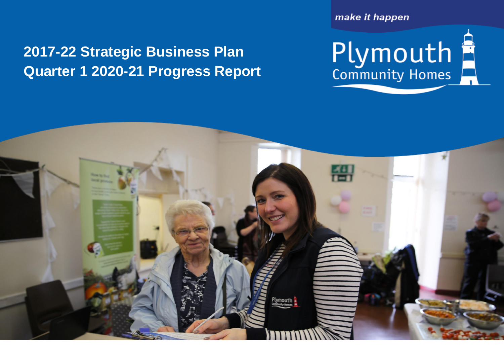## **2017-22 Strategic Business Plan** Quarter 1 **Quarter 1 2020-21 Progress Report**

make it happen

Plymouth<br>Community Homes

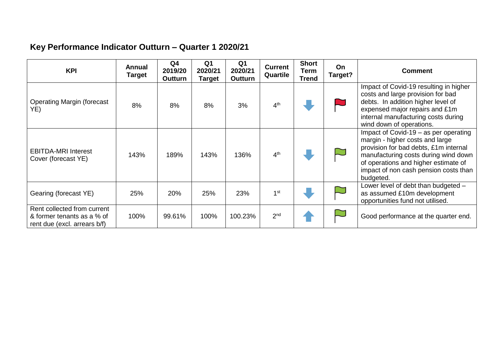## **Key Performance Indicator Outturn – Quarter 1 2020/21**

| <b>KPI</b>                                                                                | Annual<br><b>Target</b> | Q <sub>4</sub><br>2019/20<br><b>Outturn</b> | Q1<br>2020/21<br><b>Target</b> | Q <sub>1</sub><br>2020/21<br><b>Outturn</b> | <b>Current</b><br>Quartile | <b>Short</b><br>Term<br><b>Trend</b> | On.<br>Target? | <b>Comment</b>                                                                                                                                                                                                                                          |
|-------------------------------------------------------------------------------------------|-------------------------|---------------------------------------------|--------------------------------|---------------------------------------------|----------------------------|--------------------------------------|----------------|---------------------------------------------------------------------------------------------------------------------------------------------------------------------------------------------------------------------------------------------------------|
| <b>Operating Margin (forecast</b><br>YE)                                                  | 8%                      | 8%                                          | 8%                             | 3%                                          | 4 <sup>th</sup>            |                                      |                | Impact of Covid-19 resulting in higher<br>costs and large provision for bad<br>debts. In addition higher level of<br>expensed major repairs and £1m<br>internal manufacturing costs during<br>wind down of operations.                                  |
| <b>EBITDA-MRI Interest</b><br>Cover (forecast YE)                                         | 143%                    | 189%                                        | 143%                           | 136%                                        | 4 <sup>th</sup>            |                                      |                | Impact of Covid-19 – as per operating<br>margin - higher costs and large<br>provision for bad debts, £1m internal<br>manufacturing costs during wind down<br>of operations and higher estimate of<br>impact of non cash pension costs than<br>budgeted. |
| Gearing (forecast YE)                                                                     | 25%                     | 20%                                         | 25%                            | 23%                                         | 1 <sup>st</sup>            |                                      |                | Lower level of debt than budgeted -<br>as assumed £10m development<br>opportunities fund not utilised.                                                                                                                                                  |
| Rent collected from current<br>& former tenants as a % of<br>rent due (excl. arrears b/f) | 100%                    | 99.61%                                      | 100%                           | 100.23%                                     | 2 <sup>nd</sup>            |                                      |                | Good performance at the quarter end.                                                                                                                                                                                                                    |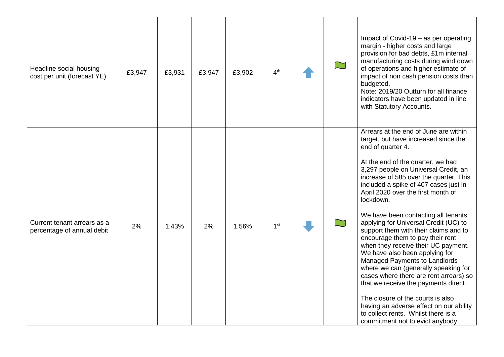| Headline social housing<br>cost per unit (forecast YE)    | £3,947 | £3,931 | £3,947 | £3,902 | 4 <sup>th</sup> |  | Impact of Covid-19 – as per operating<br>margin - higher costs and large<br>provision for bad debts, £1m internal<br>manufacturing costs during wind down<br>of operations and higher estimate of<br>impact of non cash pension costs than<br>budgeted.<br>Note: 2019/20 Outturn for all finance<br>indicators have been updated in line<br>with Statutory Accounts.                                                                                                                                                                                                                                                                                                                                                                                                                                                                                                             |
|-----------------------------------------------------------|--------|--------|--------|--------|-----------------|--|----------------------------------------------------------------------------------------------------------------------------------------------------------------------------------------------------------------------------------------------------------------------------------------------------------------------------------------------------------------------------------------------------------------------------------------------------------------------------------------------------------------------------------------------------------------------------------------------------------------------------------------------------------------------------------------------------------------------------------------------------------------------------------------------------------------------------------------------------------------------------------|
| Current tenant arrears as a<br>percentage of annual debit | 2%     | 1.43%  | 2%     | 1.56%  | 1 <sup>st</sup> |  | Arrears at the end of June are within<br>target, but have increased since the<br>end of quarter 4.<br>At the end of the quarter, we had<br>3,297 people on Universal Credit, an<br>increase of 585 over the quarter. This<br>included a spike of 407 cases just in<br>April 2020 over the first month of<br>lockdown.<br>We have been contacting all tenants<br>applying for Universal Credit (UC) to<br>support them with their claims and to<br>encourage them to pay their rent<br>when they receive their UC payment.<br>We have also been applying for<br>Managed Payments to Landlords<br>where we can (generally speaking for<br>cases where there are rent arrears) so<br>that we receive the payments direct.<br>The closure of the courts is also<br>having an adverse effect on our ability<br>to collect rents. Whilst there is a<br>commitment not to evict anybody |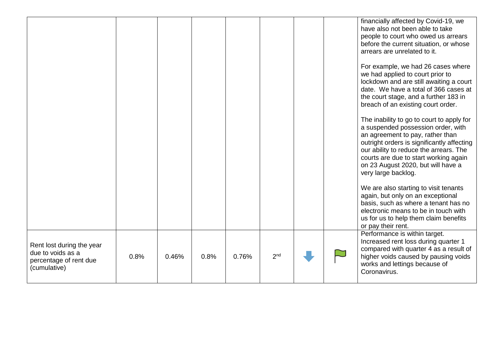|                                                                                          |      |       |      |       |                 |  | financially affected by Covid-19, we<br>have also not been able to take<br>people to court who owed us arrears<br>before the current situation, or whose<br>arrears are unrelated to it.                                                                                                                          |
|------------------------------------------------------------------------------------------|------|-------|------|-------|-----------------|--|-------------------------------------------------------------------------------------------------------------------------------------------------------------------------------------------------------------------------------------------------------------------------------------------------------------------|
|                                                                                          |      |       |      |       |                 |  | For example, we had 26 cases where<br>we had applied to court prior to<br>lockdown and are still awaiting a court<br>date. We have a total of 366 cases at<br>the court stage, and a further 183 in<br>breach of an existing court order.                                                                         |
|                                                                                          |      |       |      |       |                 |  | The inability to go to court to apply for<br>a suspended possession order, with<br>an agreement to pay, rather than<br>outright orders is significantly affecting<br>our ability to reduce the arrears. The<br>courts are due to start working again<br>on 23 August 2020, but will have a<br>very large backlog. |
|                                                                                          |      |       |      |       |                 |  | We are also starting to visit tenants<br>again, but only on an exceptional<br>basis, such as where a tenant has no<br>electronic means to be in touch with<br>us for us to help them claim benefits<br>or pay their rent.                                                                                         |
| Rent lost during the year<br>due to voids as a<br>percentage of rent due<br>(cumulative) | 0.8% | 0.46% | 0.8% | 0.76% | 2 <sup>nd</sup> |  | Performance is within target.<br>Increased rent loss during quarter 1<br>compared with quarter 4 as a result of<br>higher voids caused by pausing voids<br>works and lettings because of<br>Coronavirus.                                                                                                          |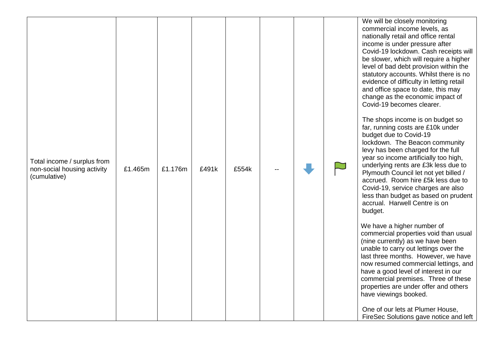|                                                                            |         |         |       |       |  | We will b<br>commero<br>nationally<br>income is<br>Covid-19<br>be slowe<br>level of b<br>statutory<br>evidence<br>and offic<br>change a<br>Covid-19<br>The shop<br>far, runni |
|----------------------------------------------------------------------------|---------|---------|-------|-------|--|-------------------------------------------------------------------------------------------------------------------------------------------------------------------------------|
| Total income / surplus from<br>non-social housing activity<br>(cumulative) | £1.465m | £1.176m | £491k | £554k |  | budget d<br>lockdowr<br>levy has<br>year so i<br>underlyin<br>Plymouth<br>accrued.<br>Covid-19<br>less than<br>accrual.<br>budget.                                            |
|                                                                            |         |         |       |       |  | We have<br>commerc<br>(nine curr<br>unable to<br>last three<br>now resu<br>have a go<br>commerc<br>properties<br>have view<br>One of o                                        |
|                                                                            |         |         |       |       |  | FireSec:                                                                                                                                                                      |

be closely monitoring cial income levels, as v retail and office rental is under pressure after lockdown. Cash receipts will er, which will require a higher  $\alpha$  debt provision within the accounts. Whilst there is no of difficulty in letting retail e space to date, this may as the economic impact of becomes clearer.

ps income is on budget so .<br>ing costs are £10k under budget due to Covid -19 n. The Beacon community been charged for the full income artificially too high,<br>ng rents are £3k less due to h Council let not yet billed / Room hire £5k less due to . service charges are also budget as based on prudent Harwell Centre is on

a higher number of cial properties void than usual rently) as we have been carry out lettings over the months. However, we have med commercial lettings, and ood level of interest in our cial premises. Three of these s are under offer and others wings booked.

our lets at Plumer House. Solutions gave notice and left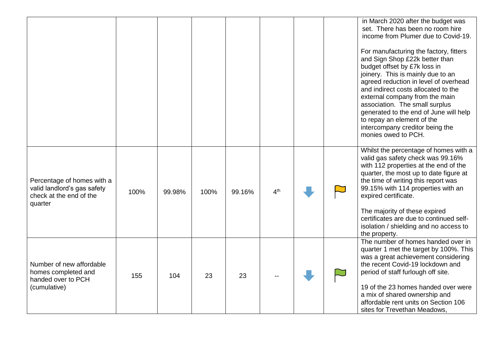|                                                                                                 |      |        |      |        |                 |  | in March 2020 after the budget was<br>set. There has been no room hire<br>income from Plumer due to Covid-19.<br>For manufacturing the factory, fitters<br>and Sign Shop £22k better than<br>budget offset by £7k loss in<br>joinery. This is mainly due to an<br>agreed reduction in level of overhead<br>and indirect costs allocated to the<br>external company from the main<br>association. The small surplus<br>generated to the end of June will help<br>to repay an element of the<br>intercompany creditor being the<br>monies owed to PCH. |
|-------------------------------------------------------------------------------------------------|------|--------|------|--------|-----------------|--|------------------------------------------------------------------------------------------------------------------------------------------------------------------------------------------------------------------------------------------------------------------------------------------------------------------------------------------------------------------------------------------------------------------------------------------------------------------------------------------------------------------------------------------------------|
| Percentage of homes with a<br>valid landlord's gas safety<br>check at the end of the<br>quarter | 100% | 99.98% | 100% | 99.16% | 4 <sup>th</sup> |  | Whilst the percentage of homes with a<br>valid gas safety check was 99.16%<br>with 112 properties at the end of the<br>quarter, the most up to date figure at<br>the time of writing this report was<br>99.15% with 114 properties with an<br>expired certificate.<br>The majority of these expired<br>certificates are due to continued self-<br>isolation / shielding and no access to<br>the property.                                                                                                                                            |
| Number of new affordable<br>homes completed and<br>handed over to PCH<br>(cumulative)           | 155  | 104    | 23   | 23     |                 |  | The number of homes handed over in<br>quarter 1 met the target by 100%. This<br>was a great achievement considering<br>the recent Covid-19 lockdown and<br>period of staff furlough off site.<br>19 of the 23 homes handed over were<br>a mix of shared ownership and<br>affordable rent units on Section 106<br>sites for Trevethan Meadows,                                                                                                                                                                                                        |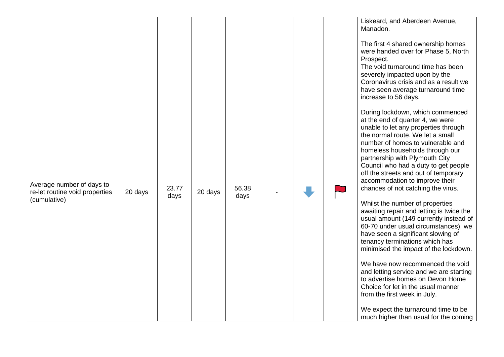|                                                                             |         |               |         |               |  | Liskeard, and Aberdeen Avenue,<br>Manadon.                                                                                                                                                                                                                                                                                                                                                                                                                                                                                                                                                                                                                                                                                                                                                                                                                                                                                                                                                                                                                                                                                                                |
|-----------------------------------------------------------------------------|---------|---------------|---------|---------------|--|-----------------------------------------------------------------------------------------------------------------------------------------------------------------------------------------------------------------------------------------------------------------------------------------------------------------------------------------------------------------------------------------------------------------------------------------------------------------------------------------------------------------------------------------------------------------------------------------------------------------------------------------------------------------------------------------------------------------------------------------------------------------------------------------------------------------------------------------------------------------------------------------------------------------------------------------------------------------------------------------------------------------------------------------------------------------------------------------------------------------------------------------------------------|
|                                                                             |         |               |         |               |  | The first 4 shared ownership homes<br>were handed over for Phase 5, North<br>Prospect.                                                                                                                                                                                                                                                                                                                                                                                                                                                                                                                                                                                                                                                                                                                                                                                                                                                                                                                                                                                                                                                                    |
| Average number of days to<br>re-let routine void properties<br>(cumulative) | 20 days | 23.77<br>days | 20 days | 56.38<br>days |  | The void turnaround time has been<br>severely impacted upon by the<br>Coronavirus crisis and as a result we<br>have seen average turnaround time<br>increase to 56 days.<br>During lockdown, which commenced<br>at the end of quarter 4, we were<br>unable to let any properties through<br>the normal route. We let a small<br>number of homes to vulnerable and<br>homeless households through our<br>partnership with Plymouth City<br>Council who had a duty to get people<br>off the streets and out of temporary<br>accommodation to improve their<br>chances of not catching the virus.<br>Whilst the number of properties<br>awaiting repair and letting is twice the<br>usual amount (149 currently instead of<br>60-70 under usual circumstances), we<br>have seen a significant slowing of<br>tenancy terminations which has<br>minimised the impact of the lockdown.<br>We have now recommenced the void<br>and letting service and we are starting<br>to advertise homes on Devon Home<br>Choice for let in the usual manner<br>from the first week in July.<br>We expect the turnaround time to be<br>much higher than usual for the coming |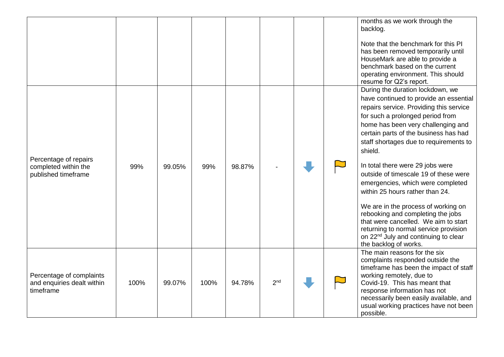|                                                                      |                                                                     |      |        |      |        |                 |  | months as we work through the<br>backlog.                                                                                                                                                                                                                                                               |
|----------------------------------------------------------------------|---------------------------------------------------------------------|------|--------|------|--------|-----------------|--|---------------------------------------------------------------------------------------------------------------------------------------------------------------------------------------------------------------------------------------------------------------------------------------------------------|
|                                                                      |                                                                     |      |        |      |        |                 |  | Note that the benchmark for this PI<br>has been removed temporarily until<br>HouseMark are able to provide a<br>benchmark based on the current<br>operating environment. This should<br>resume for Q2's report.                                                                                         |
|                                                                      |                                                                     |      |        |      |        |                 |  | During the duration lockdown, we<br>have continued to provide an essential<br>repairs service. Providing this service<br>for such a prolonged period from<br>home has been very challenging and<br>certain parts of the business has had<br>staff shortages due to requirements to<br>shield.           |
| Percentage of repairs<br>completed within the<br>published timeframe |                                                                     | 99%  | 99.05% | 99%  | 98.87% |                 |  | In total there were 29 jobs were<br>outside of timescale 19 of these were<br>emergencies, which were completed<br>within 25 hours rather than 24.                                                                                                                                                       |
|                                                                      |                                                                     |      |        |      |        |                 |  | We are in the process of working on<br>rebooking and completing the jobs<br>that were cancelled. We aim to start<br>returning to normal service provision<br>on 22 <sup>nd</sup> July and continuing to clear<br>the backlog of works.                                                                  |
|                                                                      | Percentage of complaints<br>and enquiries dealt within<br>timeframe | 100% | 99.07% | 100% | 94.78% | 2 <sub>nd</sub> |  | The main reasons for the six<br>complaints responded outside the<br>timeframe has been the impact of staff<br>working remotely, due to<br>Covid-19. This has meant that<br>response information has not<br>necessarily been easily available, and<br>usual working practices have not been<br>possible. |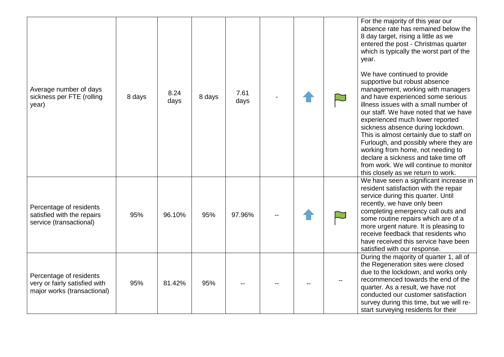| Average number of days<br>sickness per FTE (rolling<br>year)                            | 8 days | 8.24<br>days | 8 days | 7.61<br>days |  | For the majority of this year our<br>absence rate has remained below the<br>8 day target, rising a little as we<br>entered the post - Christmas quarter<br>which is typically the worst part of the<br>year.<br>We have continued to provide<br>supportive but robust absence<br>management, working with managers<br>and have experienced some serious<br>illness issues with a small number of<br>our staff. We have noted that we have<br>experienced much lower reported<br>sickness absence during lockdown.<br>This is almost certainly due to staff on<br>Furlough, and possibly where they are<br>working from home, not needing to<br>declare a sickness and take time off<br>from work. We will continue to monitor |
|-----------------------------------------------------------------------------------------|--------|--------------|--------|--------------|--|-------------------------------------------------------------------------------------------------------------------------------------------------------------------------------------------------------------------------------------------------------------------------------------------------------------------------------------------------------------------------------------------------------------------------------------------------------------------------------------------------------------------------------------------------------------------------------------------------------------------------------------------------------------------------------------------------------------------------------|
| Percentage of residents<br>satisfied with the repairs<br>service (transactional)        | 95%    | 96.10%       | 95%    | 97.96%       |  | this closely as we return to work.<br>We have seen a significant increase in<br>resident satisfaction with the repair<br>service during this quarter. Until<br>recently, we have only been<br>completing emergency call outs and<br>some routine repairs which are of a<br>more urgent nature. It is pleasing to<br>receive feedback that residents who<br>have received this service have been<br>satisfied with our response.                                                                                                                                                                                                                                                                                               |
| Percentage of residents<br>very or fairly satisfied with<br>major works (transactional) | 95%    | 81.42%       | 95%    |              |  | During the majority of quarter 1, all of<br>the Regeneration sites were closed<br>due to the lockdown, and works only<br>recommenced towards the end of the<br>quarter. As a result, we have not<br>conducted our customer satisfaction<br>survey during this time, but we will re-<br>start surveying residents for their                                                                                                                                                                                                                                                                                                                                                                                                    |